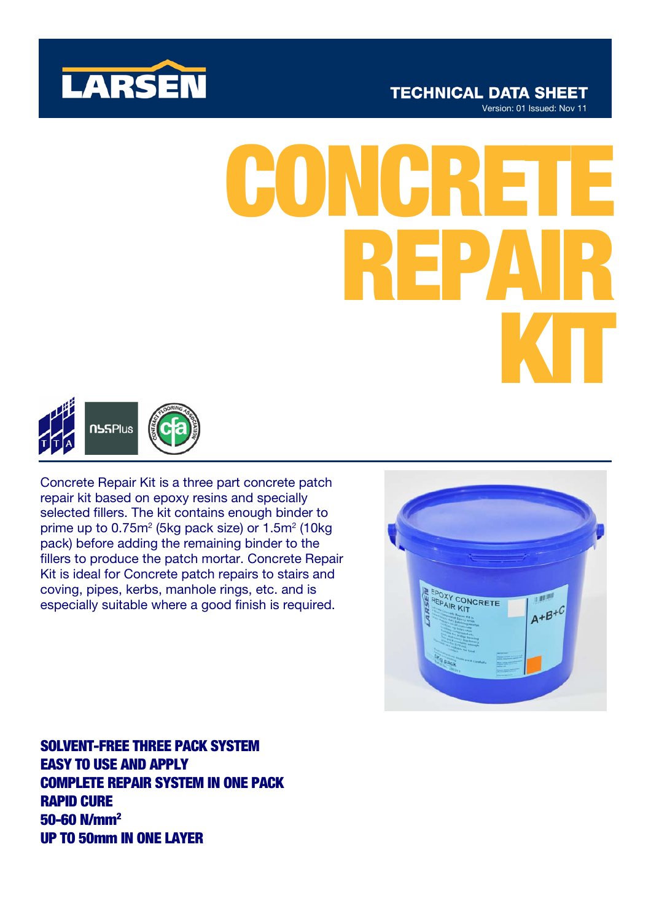

# **TECHNICAL DATA SHEET**

Version: 01 Issued: Nov 11

# CON REPAIR KIT



Concrete Repair Kit is a three part concrete patch repair kit based on epoxy resins and specially selected fillers. The kit contains enough binder to prime up to  $0.75m^2$  (5kg pack size) or  $1.5m^2$  (10kg pack) before adding the remaining binder to the fillers to produce the patch mortar. Concrete Repair Kit is ideal for Concrete patch repairs to stairs and coving, pipes, kerbs, manhole rings, etc. and is especially suitable where a good finish is required.



SOLVENT-FREE THREE PACK SYSTEM EASY TO USE AND APPLY COMPLETE REPAIR SYSTEM IN ONE PACK RAPID CURE 50-60 N/mm2 UP TO 50mm IN ONE LAYER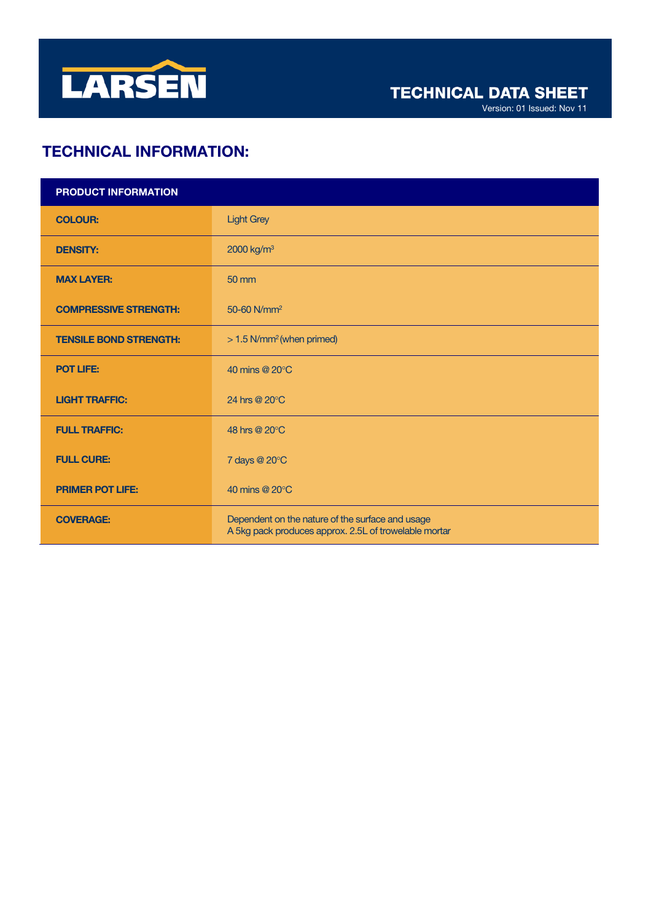

Version: 01 Issued: Nov 11

# TECHNICAL INFORMATION:

| PRODUCT INFORMATION           |                                                                                                           |
|-------------------------------|-----------------------------------------------------------------------------------------------------------|
| <b>COLOUR:</b>                | <b>Light Grey</b>                                                                                         |
| <b>DENSITY:</b>               | 2000 kg/m <sup>3</sup>                                                                                    |
| <b>MAX LAYER:</b>             | 50 mm                                                                                                     |
| <b>COMPRESSIVE STRENGTH:</b>  | 50-60 N/mm <sup>2</sup>                                                                                   |
| <b>TENSILE BOND STRENGTH:</b> | > 1.5 N/mm <sup>2</sup> (when primed)                                                                     |
| <b>POT LIFE:</b>              | 40 mins @ 20°C                                                                                            |
| <b>LIGHT TRAFFIC:</b>         | 24 hrs @ 20°C                                                                                             |
| <b>FULL TRAFFIC:</b>          | 48 hrs @ 20°C                                                                                             |
| <b>FULL CURE:</b>             | 7 days @ 20°C                                                                                             |
| <b>PRIMER POT LIFE:</b>       | 40 mins @ 20°C                                                                                            |
| <b>COVERAGE:</b>              | Dependent on the nature of the surface and usage<br>A 5kg pack produces approx. 2.5L of trowelable mortar |